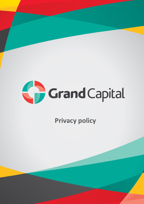

**Privacy policy**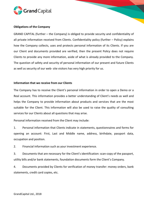

## **Obligations of the Company**

GRAND CAPITAL (further – the Company) is obliged to provide security and confidentiality of all private information received from Clients. Confidentiality policy (further – Policy) explains how the Company collects, uses and protects personal information of its Clients. If you are our Client and documents provided are verified, then the present Policy does not require Clients to provide any more information, aside of what is already provided to the Company. The question of safety and security of personal information of our present and future Clients as well as security of our web- site visitors has very high priority for us.

## **Information that we receive from our Clients**

The Company has to receive the Client's personal information in order to open a Demo or a Real account. This information provides a better understanding of Client's needs as well and helps the Company to provide information about products and services that are the most suitable for the Client. This information will also be used to raise the quality of consulting services for our Clients about all questions that may arise.

Personal information received from the Client may include:

1. Personal information that Clients indicate in statements, questionnaires and forms for opening an account: First, Last and Middle name, address, birthdate, passport data, occupation and position.

2. Financial information such as your investment experience.

3. Documents that are necessary for the Client's identification: scan-copy of the passport, utility bills and/or bank statements, foundation documents form the Client's Company.

4. Documents provided by Clients for verification of money transfer: money orders, bank statements, credit card copies, etc.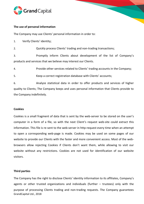

## **The use of personal information**

The Company may use Clients' personal information in order to:

1. Verify Clients' identity;

2. Quickly process Clients' trading and non-trading transactions;

3. Promptly inform Clients about development of the list of Company's products and services that we believe may interest our Clients.

4. Provide other services related to Clients' trading accounts in the Company;

5. Keep a correct registration database with Clients' accounts;

6. Analyze statistical data in order to offer products and services of higher quality to Clients; The Company keeps and uses personal information that Clients provide to the Company indefinitely.

## **Cookies**

Cookies is a small fragment of data that is sent by the web-server to be stored on the user's computer in a form of a file, so with the next Client's request web-site could extract this information. This file is re-sent to the web-server in http-request every time when an attempt to open a corresponding web-page is made. Cookies may be used on some pages of our website to provide our Clients with the faster and more convenient access. Most of the webbrowsers allow rejecting Cookies if Clients don't want them, while allowing to visit our website without any restrictions. Cookies are not used for identification of our website visitors.

# **Third parties**

GrandCapital Ltd., 2018 The Company has the right to disclose Clients' identity information to its affiliates, Company's agents or other trusted organizations and individuals (further – trustees) only with the purpose of processing Clients trading and non-trading requests. The Company guarantees